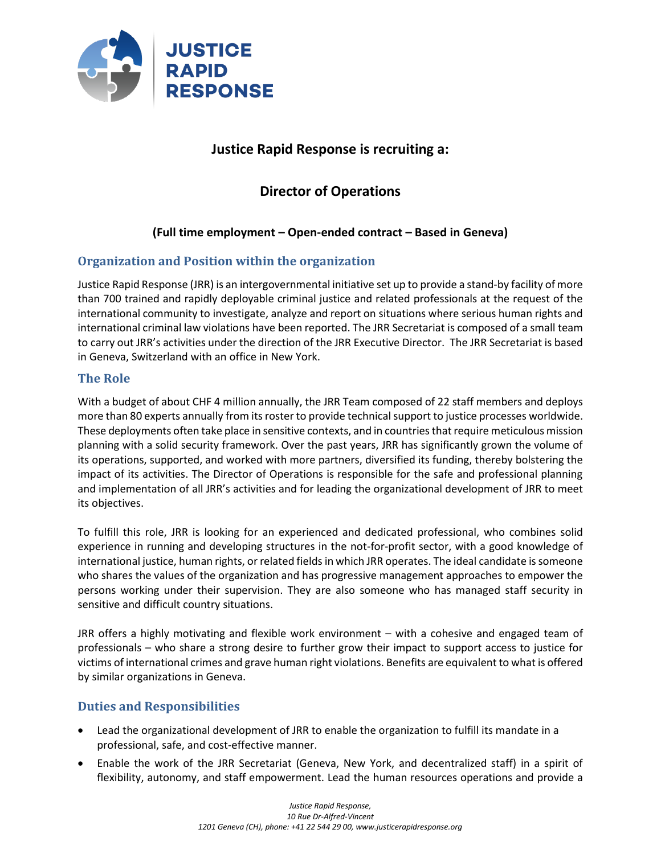

## **Justice Rapid Response is recruiting a:**

# **Director of Operations**

## **(Full time employment – Open-ended contract – Based in Geneva)**

## **Organization and Position within the organization**

Justice Rapid Response (JRR) is an intergovernmental initiative set up to provide a stand-by facility of more than 700 trained and rapidly deployable criminal justice and related professionals at the request of the international community to investigate, analyze and report on situations where serious human rights and international criminal law violations have been reported. The JRR Secretariat is composed of a small team to carry out JRR's activities under the direction of the JRR Executive Director. The JRR Secretariat is based in Geneva, Switzerland with an office in New York.

#### **The Role**

With a budget of about CHF 4 million annually, the JRR Team composed of 22 staff members and deploys more than 80 experts annually from its roster to provide technical support to justice processes worldwide. These deployments often take place in sensitive contexts, and in countries that require meticulous mission planning with a solid security framework. Over the past years, JRR has significantly grown the volume of its operations, supported, and worked with more partners, diversified its funding, thereby bolstering the impact of its activities. The Director of Operations is responsible for the safe and professional planning and implementation of all JRR's activities and for leading the organizational development of JRR to meet its objectives.

To fulfill this role, JRR is looking for an experienced and dedicated professional, who combines solid experience in running and developing structures in the not-for-profit sector, with a good knowledge of international justice, human rights, or related fields in which JRR operates. The ideal candidate is someone who shares the values of the organization and has progressive management approaches to empower the persons working under their supervision. They are also someone who has managed staff security in sensitive and difficult country situations.

JRR offers a highly motivating and flexible work environment – with a cohesive and engaged team of professionals – who share a strong desire to further grow their impact to support access to justice for victims of international crimes and grave human right violations. Benefits are equivalent to what is offered by similar organizations in Geneva.

### **Duties and Responsibilities**

- Lead the organizational development of JRR to enable the organization to fulfill its mandate in a professional, safe, and cost-effective manner.
- Enable the work of the JRR Secretariat (Geneva, New York, and decentralized staff) in a spirit of flexibility, autonomy, and staff empowerment. Lead the human resources operations and provide a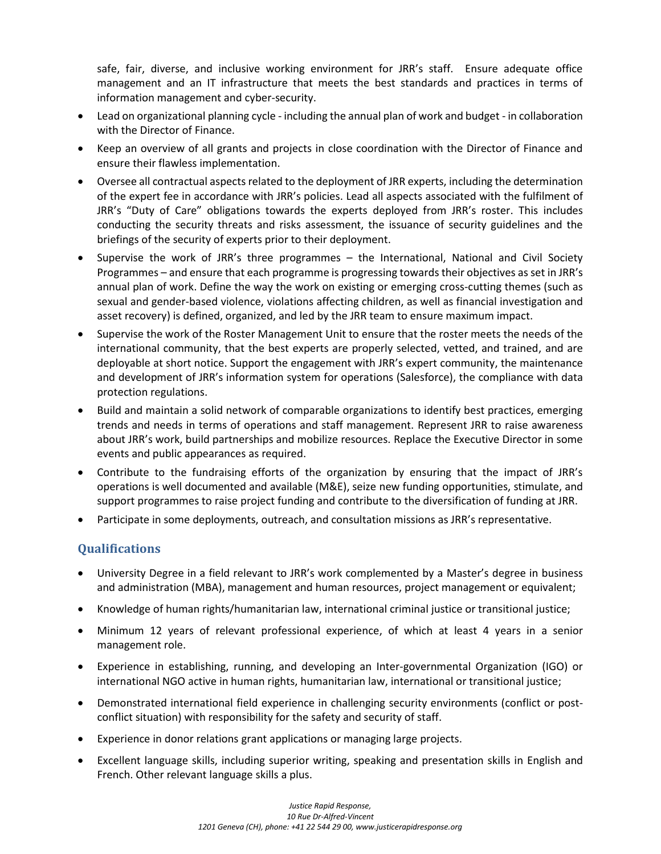safe, fair, diverse, and inclusive working environment for JRR's staff. Ensure adequate office management and an IT infrastructure that meets the best standards and practices in terms of information management and cyber-security.

- Lead on organizational planning cycle including the annual plan of work and budget in collaboration with the Director of Finance.
- Keep an overview of all grants and projects in close coordination with the Director of Finance and ensure their flawless implementation.
- Oversee all contractual aspects related to the deployment of JRR experts, including the determination of the expert fee in accordance with JRR's policies. Lead all aspects associated with the fulfilment of JRR's "Duty of Care" obligations towards the experts deployed from JRR's roster. This includes conducting the security threats and risks assessment, the issuance of security guidelines and the briefings of the security of experts prior to their deployment.
- Supervise the work of JRR's three programmes the International, National and Civil Society Programmes – and ensure that each programme is progressing towards their objectives as set in JRR's annual plan of work. Define the way the work on existing or emerging cross-cutting themes (such as sexual and gender-based violence, violations affecting children, as well as financial investigation and asset recovery) is defined, organized, and led by the JRR team to ensure maximum impact.
- Supervise the work of the Roster Management Unit to ensure that the roster meets the needs of the international community, that the best experts are properly selected, vetted, and trained, and are deployable at short notice. Support the engagement with JRR's expert community, the maintenance and development of JRR's information system for operations (Salesforce), the compliance with data protection regulations.
- Build and maintain a solid network of comparable organizations to identify best practices, emerging trends and needs in terms of operations and staff management. Represent JRR to raise awareness about JRR's work, build partnerships and mobilize resources. Replace the Executive Director in some events and public appearances as required.
- Contribute to the fundraising efforts of the organization by ensuring that the impact of JRR's operations is well documented and available (M&E), seize new funding opportunities, stimulate, and support programmes to raise project funding and contribute to the diversification of funding at JRR.
- Participate in some deployments, outreach, and consultation missions as JRR's representative.

### **Qualifications**

- University Degree in a field relevant to JRR's work complemented by a Master's degree in business and administration (MBA), management and human resources, project management or equivalent;
- Knowledge of human rights/humanitarian law, international criminal justice or transitional justice;
- Minimum 12 years of relevant professional experience, of which at least 4 years in a senior management role.
- Experience in establishing, running, and developing an Inter-governmental Organization (IGO) or international NGO active in human rights, humanitarian law, international or transitional justice;
- Demonstrated international field experience in challenging security environments (conflict or postconflict situation) with responsibility for the safety and security of staff.
- Experience in donor relations grant applications or managing large projects.
- Excellent language skills, including superior writing, speaking and presentation skills in English and French. Other relevant language skills a plus.